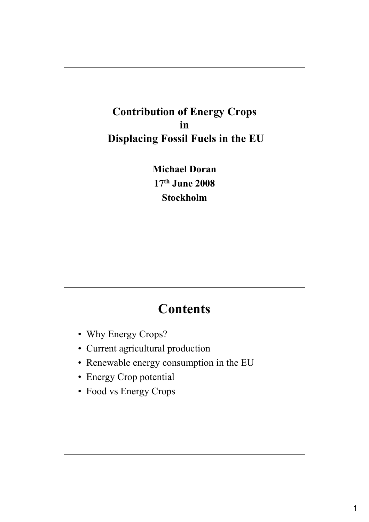#### **Contribution of Energy Crops in Displacing Fossil Fuels in the EU**

**Michael Doran 17th June 2008 Stockholm** 

## **Contents**

- Why Energy Crops?
- Current agricultural production
- Renewable energy consumption in the EU
- Energy Crop potential
- Food vs Energy Crops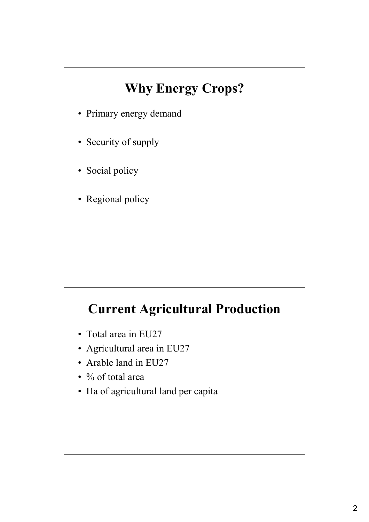# **Why Energy Crops?**

- Primary energy demand
- Security of supply
- Social policy
- Regional policy

### **Current Agricultural Production**

- Total area in EU27
- Agricultural area in EU27
- Arable land in EU27
- % of total area
- Ha of agricultural land per capita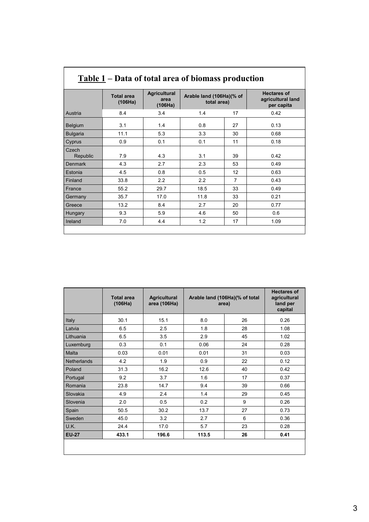| <u>Table 1</u> – Data of total area of biomass production<br><b>Hectares of</b> |                              |                                        |                                         |    |                                 |  |
|---------------------------------------------------------------------------------|------------------------------|----------------------------------------|-----------------------------------------|----|---------------------------------|--|
|                                                                                 | <b>Total area</b><br>(106Ha) | <b>Agricultural</b><br>area<br>(106Ha) | Arable land (106Ha)(% of<br>total area) |    | agricultural land<br>per capita |  |
| Austria                                                                         | 8.4                          | 3.4                                    | 1.4                                     | 17 | 0.42                            |  |
| <b>Belgium</b>                                                                  | 3.1                          | 1.4                                    | 0.8                                     | 27 | 0.13                            |  |
| <b>Bulgaria</b>                                                                 | 11.1                         | 5.3                                    | 3.3                                     | 30 | 0.68                            |  |
| Cyprus                                                                          | 0.9                          | 0.1                                    | 0.1                                     | 11 | 0.18                            |  |
| Czech<br>Republic                                                               | 7.9                          | 4.3                                    | 3.1                                     | 39 | 0.42                            |  |
| <b>Denmark</b>                                                                  | 4.3                          | 2.7                                    | 2.3                                     | 53 | 0.49                            |  |
| Estonia                                                                         | 4.5                          | 0.8                                    | 0.5                                     | 12 | 0.63                            |  |
| Finland                                                                         | 33.8                         | 2.2                                    | 22                                      | 7  | 0.43                            |  |
| France                                                                          | 55.2                         | 29.7                                   | 18.5                                    | 33 | 0.49                            |  |
| Germany                                                                         | 35.7                         | 17.0                                   | 11.8                                    | 33 | 0.21                            |  |
| Greece                                                                          | 13.2                         | 8.4                                    | 2.7                                     | 20 | 0.77                            |  |
| Hungary                                                                         | 9.3                          | 5.9                                    | 4.6                                     | 50 | 0.6                             |  |
| Ireland                                                                         | 7.0                          | 4.4                                    | 1.2                                     | 17 | 1.09                            |  |

|                    | <b>Total area</b><br>(106Ha) | <b>Agricultural</b><br>area (106Ha) |       | Arable land (106Ha)(% of total<br>area) | <b>Hectares of</b><br>agricultural<br>land per<br>capital |
|--------------------|------------------------------|-------------------------------------|-------|-----------------------------------------|-----------------------------------------------------------|
| Italy              | 30.1                         | 15.1                                | 8.0   | 26                                      | 0.26                                                      |
| Latvia             | 6.5                          | 2.5                                 | 1.8   | 28                                      | 1.08                                                      |
| Lithuania          | 6.5                          | 3.5                                 | 2.9   | 45                                      | 1.02                                                      |
| Luxemburg          | 0.3                          | 0.1                                 | 0.06  | 24                                      | 0.28                                                      |
| Malta              | 0.03                         | 0.01                                | 0.01  | 31                                      | 0.03                                                      |
| <b>Netherlands</b> | 4.2                          | 1.9                                 | 0.9   | 22                                      | 0.12                                                      |
| Poland             | 31.3                         | 16.2                                | 12.6  | 40                                      | 0.42                                                      |
| Portugal           | 9.2                          | 3.7                                 | 1.6   | 17                                      | 0.37                                                      |
| Romania            | 23.8                         | 14.7                                | 9.4   | 39                                      | 0.66                                                      |
| Slovakia           | 4.9                          | 2.4                                 | 1.4   | 29                                      | 0.45                                                      |
| Slovenia           | 2.0                          | 0.5                                 | 0.2   | 9                                       | 0.26                                                      |
| Spain              | 50.5                         | 30.2                                | 13.7  | 27                                      | 0.73                                                      |
| Sweden             | 45.0                         | 3.2                                 | 2.7   | 6                                       | 0.36                                                      |
| U.K.               | 24.4                         | 17.0                                | 5.7   | 23                                      | 0.28                                                      |
| <b>EU-27</b>       | 433.1                        | 196.6                               | 113.5 | 26                                      | 0.41                                                      |
|                    |                              |                                     |       |                                         |                                                           |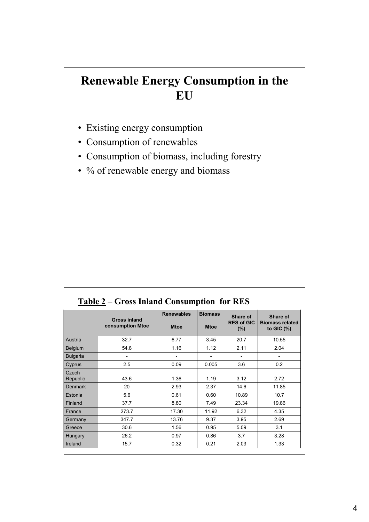#### **Renewable Energy Consumption in the EU**

- Existing energy consumption
- Consumption of renewables

Г

- Consumption of biomass, including forestry
- % of renewable energy and biomass

|                   |                                                | <b>Renewables</b> | <b>Biomass</b> | Share of                     | Share of                                |  |
|-------------------|------------------------------------------------|-------------------|----------------|------------------------------|-----------------------------------------|--|
|                   | <b>Gross inland</b><br><b>consumption Mtoe</b> | <b>Mtoe</b>       | <b>Mtoe</b>    | <b>RES of GIC</b><br>$(\% )$ | <b>Biomass related</b><br>to GIC $(\%)$ |  |
| Austria           | 32.7                                           | 6.77              | 3.45           | 20.7                         | 10.55                                   |  |
| Belgium           | 54.8                                           | 1.16              | 1.12           | 2.11                         | 2.04                                    |  |
| <b>Bulgaria</b>   |                                                |                   |                |                              |                                         |  |
| Cyprus            | 2.5                                            | 0.09              | 0.005          | 3.6                          | 0.2                                     |  |
| Czech<br>Republic | 43.6                                           | 1.36              | 1.19           | 3.12                         | 2.72                                    |  |
| <b>Denmark</b>    | 20                                             | 2.93              | 2.37           | 14.6                         | 11.85                                   |  |
| Estonia           | 5.6                                            | 0.61              | 0.60           | 10.89                        | 10.7                                    |  |
| Finland           | 37.7                                           | 8.80              | 7.49           | 23.34                        | 19.86                                   |  |
| France            | 273.7                                          | 17.30             | 11.92          | 6.32                         | 4.35                                    |  |
| Germany           | 347.7                                          | 13.76             | 9.37           | 3.95                         | 2.69                                    |  |
| Greece            | 30.6                                           | 1.56              | 0.95           | 5.09                         | 3.1                                     |  |
| Hungary           | 26.2                                           | 0.97              | 0.86           | 3.7                          | 3.28                                    |  |
| Ireland           | 15.7                                           | 0.32              | 0.21           | 2.03                         | 1.33                                    |  |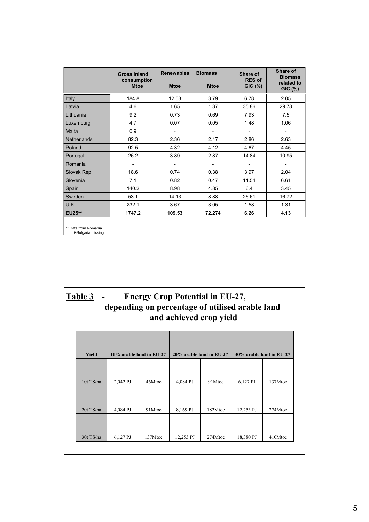|                                           | <b>Gross inland</b>        | <b>Renewables</b>        | <b>Biomass</b>           | Share of                        | Share of<br><b>Biomass</b><br>related to<br>$GIC$ $(\%)$ |  |
|-------------------------------------------|----------------------------|--------------------------|--------------------------|---------------------------------|----------------------------------------------------------|--|
|                                           | consumption<br><b>Mtoe</b> | <b>Mtoe</b>              | <b>Mtoe</b>              | <b>RES of</b><br><b>GIC (%)</b> |                                                          |  |
| Italy                                     | 184.8                      | 12.53                    | 3.79                     | 6.78                            | 2.05                                                     |  |
| Latvia                                    | 4.6                        | 1.65                     | 1.37                     | 35.86                           | 29.78                                                    |  |
| Lithuania                                 | 9.2                        | 0.73                     | 0.69                     | 7.93                            | 7.5                                                      |  |
| Luxemburg                                 | 4.7                        | 0.07                     | 0.05                     | 1.48                            | 1.06                                                     |  |
| <b>Malta</b>                              | 0.9                        | $\overline{\phantom{0}}$ | $\overline{\phantom{0}}$ |                                 |                                                          |  |
| <b>Netherlands</b>                        | 82.3                       | 2.36                     | 2.17                     | 2.86                            | 2.63                                                     |  |
| Poland                                    | 92.5                       | 4.32                     | 4.12                     | 4.67                            | 4.45                                                     |  |
| Portugal                                  | 26.2                       | 3.89                     | 2.87                     | 14.84                           | 10.95                                                    |  |
| Romania                                   |                            | $\overline{\phantom{0}}$ | $\overline{\phantom{0}}$ |                                 |                                                          |  |
| Slovak Rep.                               | 18.6                       | 0.74                     | 0.38                     | 3.97                            | 2.04                                                     |  |
| Slovenia                                  | 7.1                        | 0.82                     | 0.47                     | 11.54                           | 6.61                                                     |  |
| Spain                                     | 140.2                      | 8.98                     | 4.85                     | 6.4                             | 3.45                                                     |  |
| Sweden                                    | 53.1                       | 14.13                    | 8.88                     | 26.61                           | 16.72                                                    |  |
| U.K.                                      | 232.1                      | 3.67                     | 3.05                     | 1.58                            | 1.31                                                     |  |
| EU25**                                    | 1747.2                     | 109.53                   | 72.274                   | 6.26                            | 4.13                                                     |  |
| ** Data from Romania<br>&Bulgaria missing |                            |                          |                          |                                 |                                                          |  |

| Table 3 - | <b>Energy Crop Potential in EU-27.</b>          |
|-----------|-------------------------------------------------|
|           | depending on percentage of utilised arable land |
|           | and achieved crop yield                         |

| Yield     | 10% arable land in EU-27 |         | 20% arable land in EU-27 |         | 30% arable land in EU-27 |         |
|-----------|--------------------------|---------|--------------------------|---------|--------------------------|---------|
|           |                          |         |                          |         |                          |         |
|           |                          |         |                          |         |                          |         |
| 10t TS/ha | 2,042 PJ                 | 46Mtoe  | 4,084 PJ                 | 91Mtoe  | 6,127 PJ                 | 137Mtoe |
|           |                          |         |                          |         |                          |         |
|           |                          |         |                          |         |                          |         |
|           |                          |         |                          |         |                          |         |
| 20t TS/ha | 4,084 PJ                 | 91Mtoe  | 8,169 PJ                 | 182Mtoe | 12,253 PJ                | 274Mtoe |
|           |                          |         |                          |         |                          |         |
|           |                          |         |                          |         |                          |         |
|           |                          |         |                          |         |                          |         |
| 30t TS/ha | 6,127 PJ                 | 137Mtoe | 12,253 PJ                | 274Mtoe | 18,380 PJ                | 410Mtoe |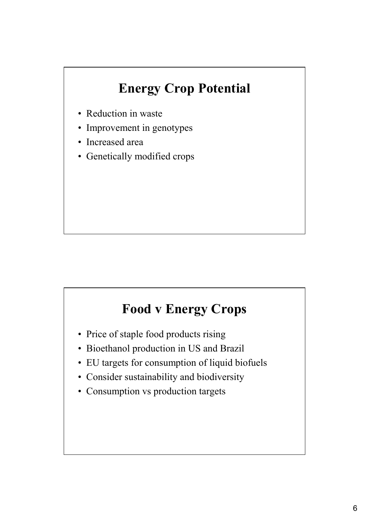## **Energy Crop Potential**

- Reduction in waste
- Improvement in genotypes
- Increased area
- Genetically modified crops

### **Food v Energy Crops**

- Price of staple food products rising
- Bioethanol production in US and Brazil
- EU targets for consumption of liquid biofuels
- Consider sustainability and biodiversity
- Consumption vs production targets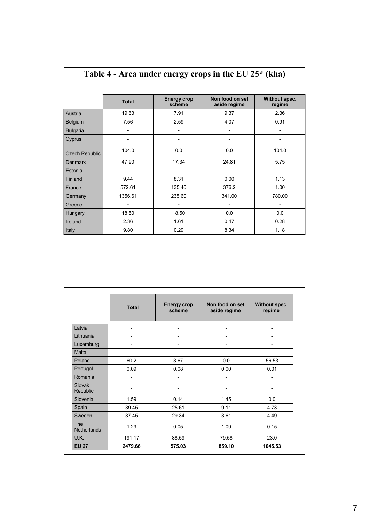|                       | Table 4 - Area under energy crops in the EU $25*$ (kha) |                              |                                 |                         |  |
|-----------------------|---------------------------------------------------------|------------------------------|---------------------------------|-------------------------|--|
|                       |                                                         |                              |                                 |                         |  |
|                       | <b>Total</b>                                            | <b>Energy crop</b><br>scheme | Non food on set<br>aside regime | Without spec.<br>regime |  |
| Austria               | 19.63                                                   | 7.91                         | 9.37                            | 2.36                    |  |
| Belgium               | 7.56                                                    | 2.59                         | 4.07                            | 0.91                    |  |
| <b>Bulgaria</b>       |                                                         |                              |                                 |                         |  |
| Cyprus                |                                                         |                              |                                 |                         |  |
| <b>Czech Republic</b> | 104.0                                                   | 0.0                          | 0.0                             | 104.0                   |  |
| <b>Denmark</b>        | 47.90                                                   | 17.34                        | 24.81                           | 5.75                    |  |
| Estonia               |                                                         |                              |                                 |                         |  |
| Finland               | 9.44                                                    | 8.31                         | 0.00                            | 1.13                    |  |
| France                | 572.61                                                  | 135.40                       | 376.2                           | 1.00                    |  |
| Germany               | 1356.61                                                 | 235.60                       | 341.00                          | 780.00                  |  |
| Greece                |                                                         |                              |                                 |                         |  |
| Hungary               | 18.50                                                   | 18.50                        | 0.0                             | 0.0                     |  |
| Ireland               | 2.36                                                    | 1.61                         | 0.47                            | 0.28                    |  |
| Italy                 | 9.80                                                    | 0.29                         | 8.34                            | 1.18                    |  |

|                                  | <b>Total</b>             | <b>Energy crop</b><br>scheme | Non food on set<br>aside regime | Without spec.<br>regime |
|----------------------------------|--------------------------|------------------------------|---------------------------------|-------------------------|
| Latvia                           | $\overline{a}$           |                              |                                 |                         |
| Lithuania                        | $\overline{a}$           |                              |                                 |                         |
| Luxemburg                        | -                        |                              |                                 |                         |
| Malta                            | -                        |                              |                                 |                         |
| Poland                           | 60.2                     | 3.67                         | 0.0                             | 56.53                   |
| Portugal                         | 0.09                     | 0.08                         | 0.00                            | 0.01                    |
| Romania                          | $\overline{\phantom{0}}$ |                              |                                 |                         |
| Slovak<br>Republic               |                          |                              |                                 |                         |
| Slovenia                         | 1.59                     | 0.14                         | 1.45                            | 0.0                     |
| Spain                            | 39.45                    | 25.61                        | 9.11                            | 4.73                    |
| Sweden                           | 37.45                    | 29.34                        | 3.61                            | 4.49                    |
| <b>The</b><br><b>Netherlands</b> | 1.29                     | 0.05                         | 1.09                            | 0.15                    |
| U.K.                             | 191.17                   | 88.59                        | 79.58                           | 23.0                    |
| <b>EU 27</b>                     | 2479.66                  | 575.03                       | 859.10                          | 1045.53                 |